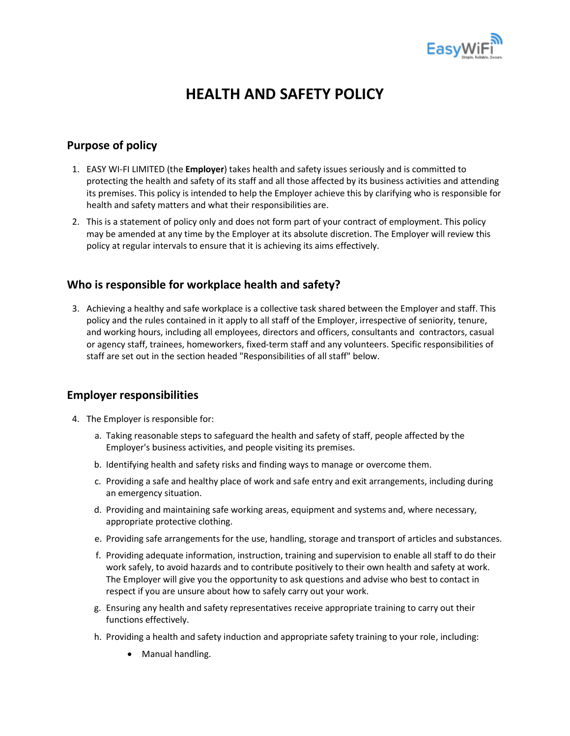

# **HEALTH AND SAFETY POLICY**

# **Purpose of policy**

- 1. EASY WI-FI LIMITED (the **Employer**) takes health and safety issues seriously and is committed to protecting the health and safety of its staff and all those affected by its business activities and attending its premises. This policy is intended to help the Employer achieve this by clarifying who is responsible for health and safety matters and what their responsibilities are.
- 2. This is a statement of policy only and does not form part of your contract of employment. This policy may be amended at any time by the Employer at its absolute discretion. The Employer will review this policy at regular intervals to ensure that it is achieving its aims effectively.

### **Who is responsible for workplace health and safety?**

3. Achieving a healthy and safe workplace is a collective task shared between the Employer and staff. This policy and the rules contained in it apply to all staff of the Employer, irrespective of seniority, tenure, and working hours, including all employees, directors and officers, consultants and contractors, casual or agency staff, trainees, homeworkers, fixed-term staff and any volunteers. Specific responsibilities of staff are set out in the section headed "Responsibilities of all staff" below.

### **Employer responsibilities**

- 4. The Employer is responsible for:
	- a. Taking reasonable steps to safeguard the health and safety of staff, people affected by the Employer's business activities, and people visiting its premises.
	- b. Identifying health and safety risks and finding ways to manage or overcome them.
	- c. Providing a safe and healthy place of work and safe entry and exit arrangements, including during an emergency situation.
	- d. Providing and maintaining safe working areas, equipment and systems and, where necessary, appropriate protective clothing.
	- e. Providing safe arrangements for the use, handling, storage and transport of articles and substances.
	- f. Providing adequate information, instruction, training and supervision to enable all staff to do their work safely, to avoid hazards and to contribute positively to their own health and safety at work. The Employer will give you the opportunity to ask questions and advise who best to contact in respect if you are unsure about how to safely carry out your work.
	- g. Ensuring any health and safety representatives receive appropriate training to carry out their functions effectively.
	- h. Providing a health and safety induction and appropriate safety training to your role, including:
		- Manual handling.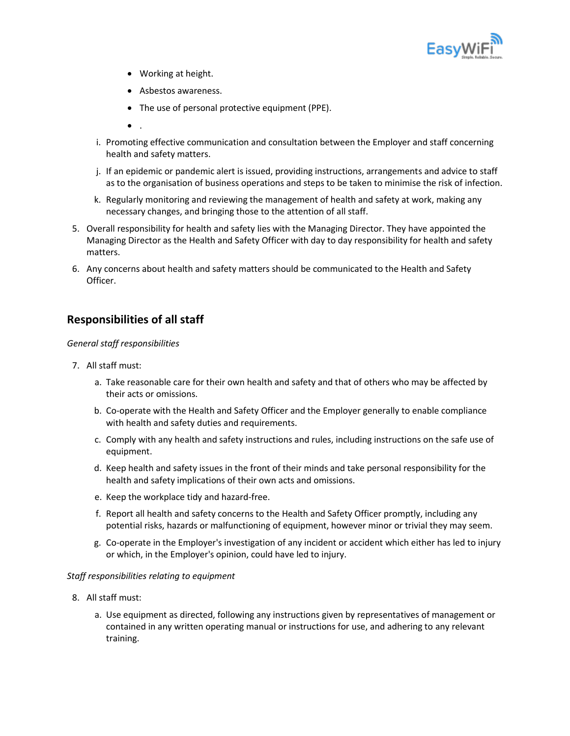

- Working at height.
- Asbestos awareness.
- The use of personal protective equipment (PPE).
- $\bullet$
- i. Promoting effective communication and consultation between the Employer and staff concerning health and safety matters.
- j. If an epidemic or pandemic alert is issued, providing instructions, arrangements and advice to staff as to the organisation of business operations and steps to be taken to minimise the risk of infection.
- k. Regularly monitoring and reviewing the management of health and safety at work, making any necessary changes, and bringing those to the attention of all staff.
- 5. Overall responsibility for health and safety lies with the Managing Director. They have appointed the Managing Director as the Health and Safety Officer with day to day responsibility for health and safety matters.
- 6. Any concerns about health and safety matters should be communicated to the Health and Safety Officer.

# **Responsibilities of all staff**

#### *General staff responsibilities*

- 7. All staff must:
	- a. Take reasonable care for their own health and safety and that of others who may be affected by their acts or omissions.
	- b. Co-operate with the Health and Safety Officer and the Employer generally to enable compliance with health and safety duties and requirements.
	- c. Comply with any health and safety instructions and rules, including instructions on the safe use of equipment.
	- d. Keep health and safety issues in the front of their minds and take personal responsibility for the health and safety implications of their own acts and omissions.
	- e. Keep the workplace tidy and hazard-free.
	- f. Report all health and safety concerns to the Health and Safety Officer promptly, including any potential risks, hazards or malfunctioning of equipment, however minor or trivial they may seem.
	- g. Co-operate in the Employer's investigation of any incident or accident which either has led to injury or which, in the Employer's opinion, could have led to injury.

#### *Staff responsibilities relating to equipment*

- 8. All staff must:
	- a. Use equipment as directed, following any instructions given by representatives of management or contained in any written operating manual or instructions for use, and adhering to any relevant training.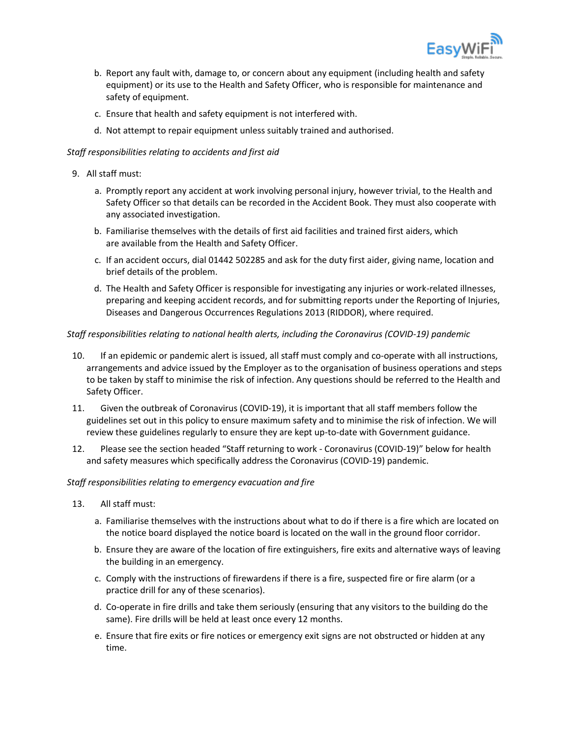

- b. Report any fault with, damage to, or concern about any equipment (including health and safety equipment) or its use to the Health and Safety Officer, who is responsible for maintenance and safety of equipment.
- c. Ensure that health and safety equipment is not interfered with.
- d. Not attempt to repair equipment unless suitably trained and authorised.

#### *Staff responsibilities relating to accidents and first aid*

#### 9. All staff must:

- a. Promptly report any accident at work involving personal injury, however trivial, to the Health and Safety Officer so that details can be recorded in the Accident Book. They must also cooperate with any associated investigation.
- b. Familiarise themselves with the details of first aid facilities and trained first aiders, which are available from the Health and Safety Officer.
- c. If an accident occurs, dial 01442 502285 and ask for the duty first aider, giving name, location and brief details of the problem.
- d. The Health and Safety Officer is responsible for investigating any injuries or work-related illnesses, preparing and keeping accident records, and for submitting reports under the Reporting of Injuries, Diseases and Dangerous Occurrences Regulations 2013 (RIDDOR), where required.

#### *Staff responsibilities relating to national health alerts, including the Coronavirus (COVID-19) pandemic*

- 10. If an epidemic or pandemic alert is issued, all staff must comply and co-operate with all instructions, arrangements and advice issued by the Employer as to the organisation of business operations and steps to be taken by staff to minimise the risk of infection. Any questions should be referred to the Health and Safety Officer.
- 11. Given the outbreak of Coronavirus (COVID-19), it is important that all staff members follow the guidelines set out in this policy to ensure maximum safety and to minimise the risk of infection. We will review these guidelines regularly to ensure they are kept up-to-date with Government guidance.
- 12. Please see the section headed "Staff returning to work Coronavirus (COVID-19)" below for health and safety measures which specifically address the Coronavirus (COVID-19) pandemic.

#### *Staff responsibilities relating to emergency evacuation and fire*

- 13. All staff must:
	- a. Familiarise themselves with the instructions about what to do if there is a fire which are located on the notice board displayed the notice board is located on the wall in the ground floor corridor.
	- b. Ensure they are aware of the location of fire extinguishers, fire exits and alternative ways of leaving the building in an emergency.
	- c. Comply with the instructions of firewardens if there is a fire, suspected fire or fire alarm (or a practice drill for any of these scenarios).
	- d. Co-operate in fire drills and take them seriously (ensuring that any visitors to the building do the same). Fire drills will be held at least once every 12 months.
	- e. Ensure that fire exits or fire notices or emergency exit signs are not obstructed or hidden at any time.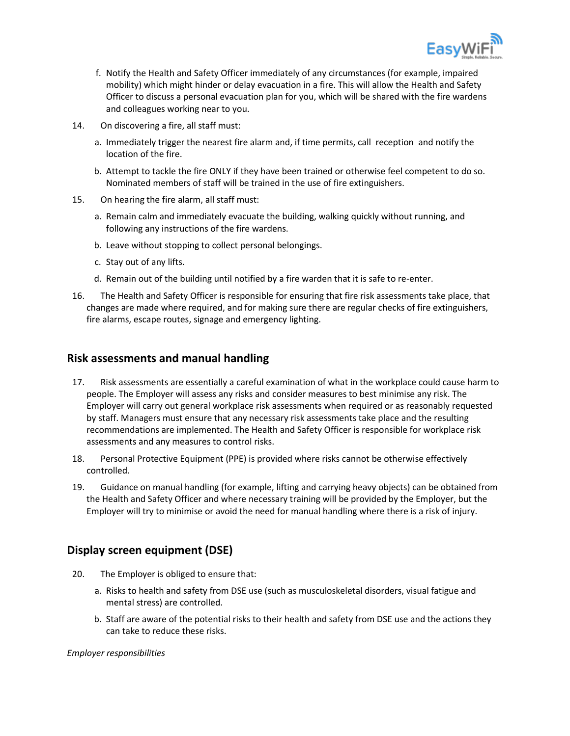

- f. Notify the Health and Safety Officer immediately of any circumstances (for example, impaired mobility) which might hinder or delay evacuation in a fire. This will allow the Health and Safety Officer to discuss a personal evacuation plan for you, which will be shared with the fire wardens and colleagues working near to you.
- 14. On discovering a fire, all staff must:
	- a. Immediately trigger the nearest fire alarm and, if time permits, call reception and notify the location of the fire.
	- b. Attempt to tackle the fire ONLY if they have been trained or otherwise feel competent to do so. Nominated members of staff will be trained in the use of fire extinguishers.
- 15. On hearing the fire alarm, all staff must:
	- a. Remain calm and immediately evacuate the building, walking quickly without running, and following any instructions of the fire wardens.
	- b. Leave without stopping to collect personal belongings.
	- c. Stay out of any lifts.
	- d. Remain out of the building until notified by a fire warden that it is safe to re-enter.
- 16. The Health and Safety Officer is responsible for ensuring that fire risk assessments take place, that changes are made where required, and for making sure there are regular checks of fire extinguishers, fire alarms, escape routes, signage and emergency lighting.

### **Risk assessments and manual handling**

- 17. Risk assessments are essentially a careful examination of what in the workplace could cause harm to people. The Employer will assess any risks and consider measures to best minimise any risk. The Employer will carry out general workplace risk assessments when required or as reasonably requested by staff. Managers must ensure that any necessary risk assessments take place and the resulting recommendations are implemented. The Health and Safety Officer is responsible for workplace risk assessments and any measures to control risks.
- 18. Personal Protective Equipment (PPE) is provided where risks cannot be otherwise effectively controlled.
- 19. Guidance on manual handling (for example, lifting and carrying heavy objects) can be obtained from the Health and Safety Officer and where necessary training will be provided by the Employer, but the Employer will try to minimise or avoid the need for manual handling where there is a risk of injury.

### **Display screen equipment (DSE)**

- 20. The Employer is obliged to ensure that:
	- a. Risks to health and safety from DSE use (such as musculoskeletal disorders, visual fatigue and mental stress) are controlled.
	- b. Staff are aware of the potential risks to their health and safety from DSE use and the actions they can take to reduce these risks.

*Employer responsibilities*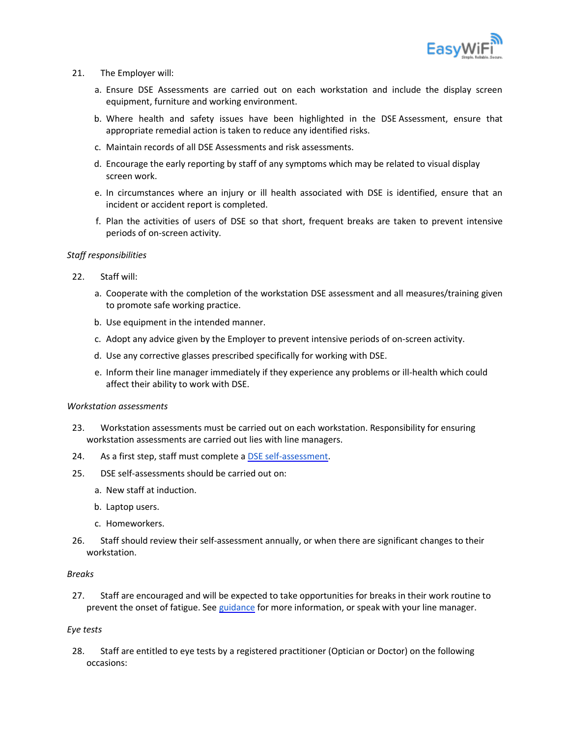

- 21. The Employer will:
	- a. Ensure DSE Assessments are carried out on each workstation and include the display screen equipment, furniture and working environment.
	- b. Where health and safety issues have been highlighted in the DSE Assessment, ensure that appropriate remedial action is taken to reduce any identified risks.
	- c. Maintain records of all DSE Assessments and risk assessments.
	- d. Encourage the early reporting by staff of any symptoms which may be related to visual display screen work.
	- e. In circumstances where an injury or ill health associated with DSE is identified, ensure that an incident or accident report is completed.
	- f. Plan the activities of users of DSE so that short, frequent breaks are taken to prevent intensive periods of on-screen activity.

#### *Staff responsibilities*

- 22. Staff will:
	- a. Cooperate with the completion of the workstation DSE assessment and all measures/training given to promote safe working practice.
	- b. Use equipment in the intended manner.
	- c. Adopt any advice given by the Employer to prevent intensive periods of on-screen activity.
	- d. Use any corrective glasses prescribed specifically for working with DSE.
	- e. Inform their line manager immediately if they experience any problems or ill-health which could affect their ability to work with DSE.

#### *Workstation assessments*

- 23. Workstation assessments must be carried out on each workstation. Responsibility for ensuring workstation assessments are carried out lies with line managers.
- 24. As a first step, staff must complete a [DSE self-assessment.](https://www.hse.gov.uk/pubns/ck1.pdf)
- 25. DSE self-assessments should be carried out on:
	- a. New staff at induction.
	- b. Laptop users.
	- c. Homeworkers.
- 26. Staff should review their self-assessment annually, or when there are significant changes to their workstation.

#### *Breaks*

27. Staff are encouraged and will be expected to take opportunities for breaks in their work routine to prevent the onset of fatigue. See [guidance](https://www.hse.gov.uk/msd/dse/work-routine.htm#:~:text=There%20is%20no%20legal%20guidance,20%20minutes%20every%202%20hours.) for more information, or speak with your line manager.

#### *Eye tests*

28. Staff are entitled to eye tests by a registered practitioner (Optician or Doctor) on the following occasions: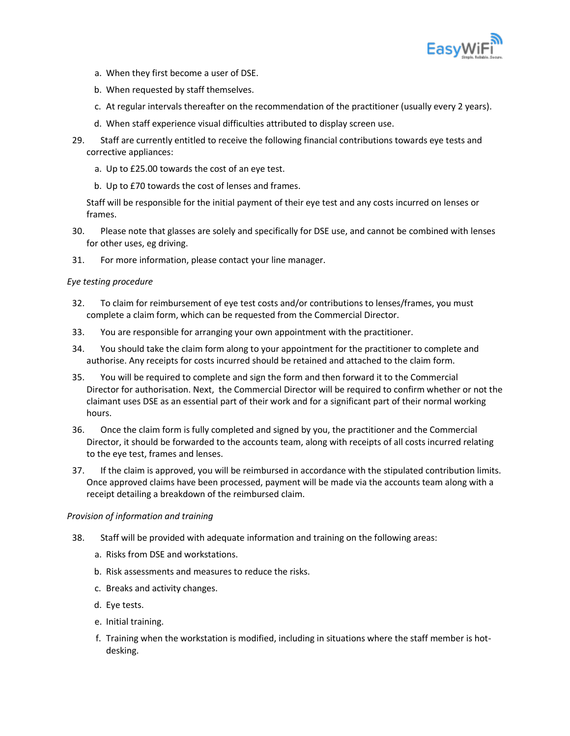

- a. When they first become a user of DSE.
- b. When requested by staff themselves.
- c. At regular intervals thereafter on the recommendation of the practitioner (usually every 2 years).
- d. When staff experience visual difficulties attributed to display screen use.
- 29. Staff are currently entitled to receive the following financial contributions towards eye tests and corrective appliances:
	- a. Up to £25.00 towards the cost of an eye test.
	- b. Up to £70 towards the cost of lenses and frames.

Staff will be responsible for the initial payment of their eye test and any costs incurred on lenses or frames.

- 30. Please note that glasses are solely and specifically for DSE use, and cannot be combined with lenses for other uses, eg driving.
- 31. For more information, please contact your line manager.

#### *Eye testing procedure*

- 32. To claim for reimbursement of eye test costs and/or contributions to lenses/frames, you must complete a claim form, which can be requested from the Commercial Director.
- 33. You are responsible for arranging your own appointment with the practitioner.
- 34. You should take the claim form along to your appointment for the practitioner to complete and authorise. Any receipts for costs incurred should be retained and attached to the claim form.
- 35. You will be required to complete and sign the form and then forward it to the Commercial Director for authorisation. Next, the Commercial Director will be required to confirm whether or not the claimant uses DSE as an essential part of their work and for a significant part of their normal working hours.
- 36. Once the claim form is fully completed and signed by you, the practitioner and the Commercial Director, it should be forwarded to the accounts team, along with receipts of all costs incurred relating to the eye test, frames and lenses.
- 37. If the claim is approved, you will be reimbursed in accordance with the stipulated contribution limits. Once approved claims have been processed, payment will be made via the accounts team along with a receipt detailing a breakdown of the reimbursed claim.

#### *Provision of information and training*

- 38. Staff will be provided with adequate information and training on the following areas:
	- a. Risks from DSE and workstations.
	- b. Risk assessments and measures to reduce the risks.
	- c. Breaks and activity changes.
	- d. Eye tests.
	- e. Initial training.
	- f. Training when the workstation is modified, including in situations where the staff member is hotdesking.